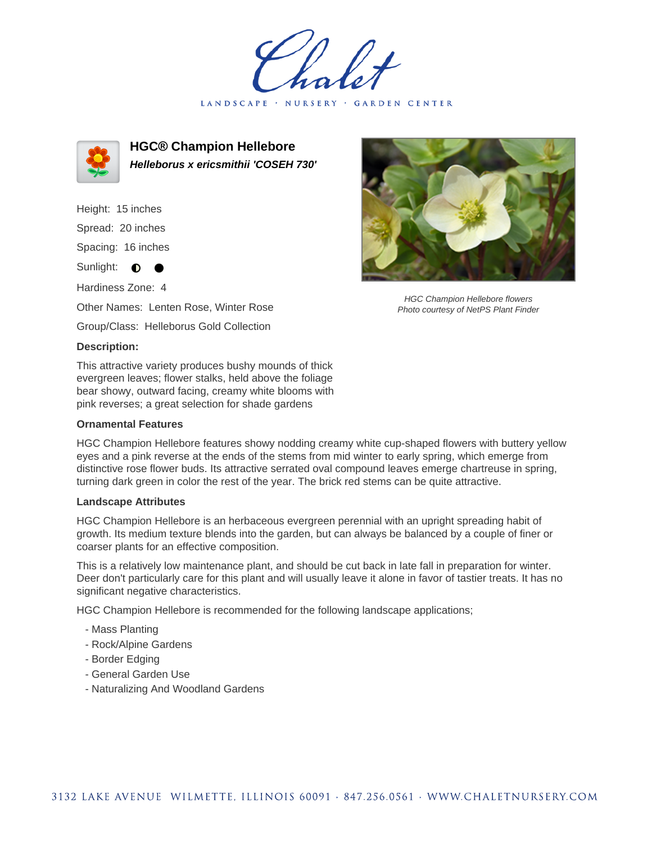LANDSCAPE · NURSERY GARDEN CENTER



**HGC® Champion Hellebore Helleborus x ericsmithii 'COSEH 730'**

Height: 15 inches

Spread: 20 inches

Spacing: 16 inches

Sunlight: **0** 

Hardiness Zone: 4

Other Names: Lenten Rose, Winter Rose

Group/Class: Helleborus Gold Collection

## **Description:**

This attractive variety produces bushy mounds of thick evergreen leaves; flower stalks, held above the foliage bear showy, outward facing, creamy white blooms with pink reverses; a great selection for shade gardens

## **Ornamental Features**

HGC Champion Hellebore features showy nodding creamy white cup-shaped flowers with buttery yellow eyes and a pink reverse at the ends of the stems from mid winter to early spring, which emerge from distinctive rose flower buds. Its attractive serrated oval compound leaves emerge chartreuse in spring, turning dark green in color the rest of the year. The brick red stems can be quite attractive.

## **Landscape Attributes**

HGC Champion Hellebore is an herbaceous evergreen perennial with an upright spreading habit of growth. Its medium texture blends into the garden, but can always be balanced by a couple of finer or coarser plants for an effective composition.

This is a relatively low maintenance plant, and should be cut back in late fall in preparation for winter. Deer don't particularly care for this plant and will usually leave it alone in favor of tastier treats. It has no significant negative characteristics.

HGC Champion Hellebore is recommended for the following landscape applications;

- Mass Planting
- Rock/Alpine Gardens
- Border Edging
- General Garden Use
- Naturalizing And Woodland Gardens



HGC Champion Hellebore flowers Photo courtesy of NetPS Plant Finder